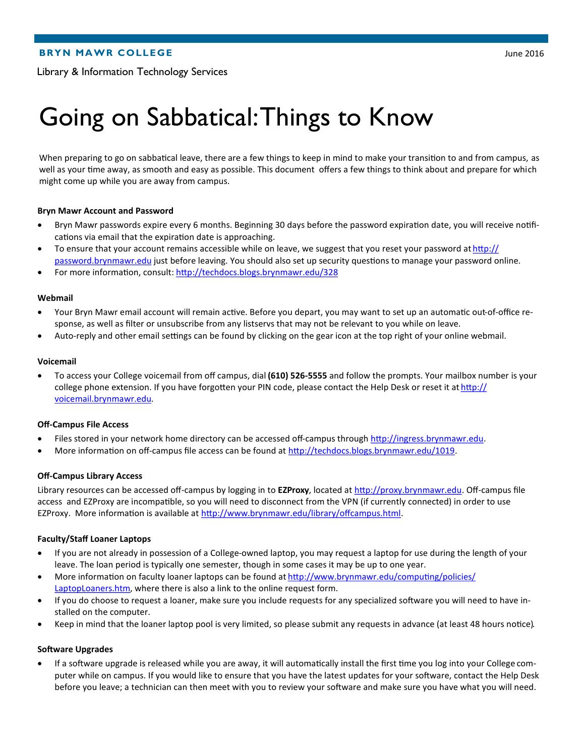# Going on Sabbatical: Things to Know

When preparing to go on sabbatical leave, there are a few things to keep in mind to make your transition to and from campus, as well as your time away, as smooth and easy as possible. This document offers a few things to think about and prepare for which might come up while you are away from campus.

## **Bryn Mawr Account and Password**

- Bryn Mawr passwords expire every 6 months. Beginning 30 days before the password expiration date, you will receive notifications via email that the expiration date is approaching.
- To ensure that your account remains accessible while on leave, we suggest that you reset your password at [http://](http://password.brynmawr.edu) [password.brynmawr.edu](http://password.brynmawr.edu) just before leaving. You should also set up security questions to manage your password online.
- For more information, consult:<http://techdocs.blogs.brynmawr.edu/328>

#### **Webmail**

- Your Bryn Mawr email account will remain active. Before you depart, you may want to set up an automatic out-of-office response, as well as filter or unsubscribe from any listservs that may not be relevant to you while on leave.
- Auto-reply and other email settings can be found by clicking on the gear icon at the top right of your online webmail.

#### **Voicemail**

 To access your College voicemail from off campus, dial **(610) 526-5555** and follow the prompts. Your mailbox number is your college phone extension. If you have forgotten your PIN code, please contact the Help Desk or reset it at [http://](http://voicemail.brynmawr.edu) [voicemail.brynmawr.edu.](http://voicemail.brynmawr.edu)

#### **Off-Campus File Access**

- Files stored in your network home directory can be accessed off-campus through [http://ingress.brynmawr.edu.](http://ingress.brynmawr.edu)
- More information on off-campus file access can be found at [http://techdocs.blogs.brynmawr.edu/1019.](http://techdocs.blogs.brynmawr.edu/1019)

#### **Off-Campus Library Access**

Library resources can be accessed off-campus by logging in to **EZProxy**, located at [http://proxy.brynmawr.edu.](http://proxy.brynmawr.edu) Off-campus file access and EZProxy are incompatible, so you will need to disconnect from the VPN (if currently connected) in order to use EZProxy. More information is available at [http://www.brynmawr.edu/library/offcampus.html.](http://www.brynmawr.edu/library/offcampus.html)

## **Faculty/Staff Loaner Laptops**

- If you are not already in possession of a College-owned laptop, you may request a laptop for use during the length of your leave. The loan period is typically one semester, though in some cases it may be up to one year.
- More information on faculty loaner laptops can be found at [http://www.brynmawr.edu/computing/policies/](http://www.brynmawr.edu/computing/policies/LaptopLoaners.htm) [LaptopLoaners.htm,](http://www.brynmawr.edu/computing/policies/LaptopLoaners.htm) where there is also a link to the online request form.
- If you do choose to request a loaner, make sure you include requests for any specialized software you will need to have installed on the computer.
- Keep in mind that the loaner laptop pool is very limited, so please submit any requests in advance (at least 48 hours notice).

#### **Software Upgrades**

 If a software upgrade is released while you are away, it will automatically install the first time you log into your College computer while on campus. If you would like to ensure that you have the latest updates for your software, contact the Help Desk before you leave; a technician can then meet with you to review your software and make sure you have what you will need.